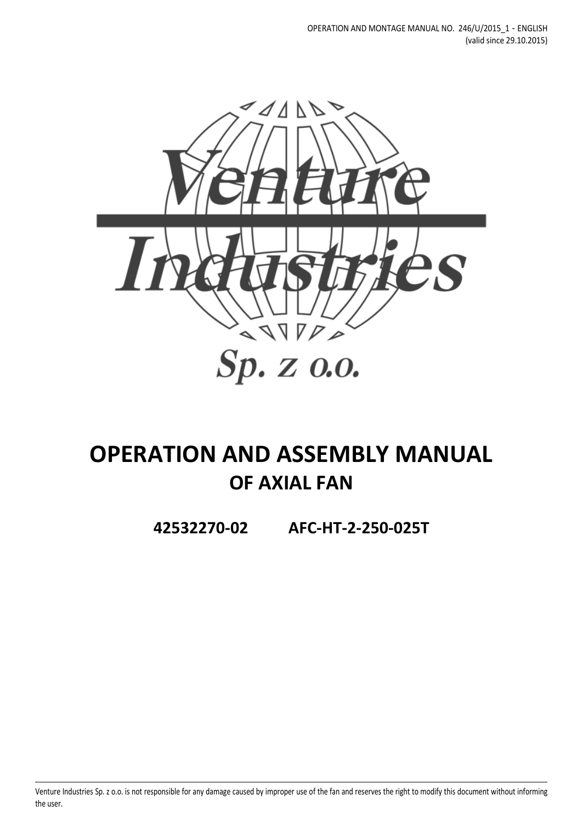

# **OPERATION AND ASSEMBLY MANUAL OF AXIAL FAN**

**42532270-02 AFC-HT-2-250-025T**

Venture Industries Sp. z o.o. is not responsible for any damage caused by improper use of the fan and reserves the right to modify this document without informing the user.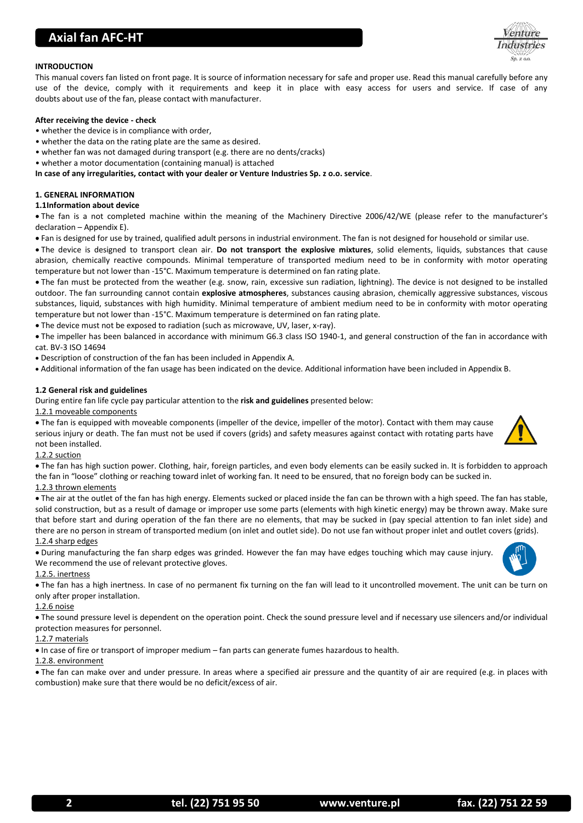# **Axial fan AFC-HT**



# **INTRODUCTION**

This manual covers fan listed on front page. It is source of information necessary for safe and proper use. Read this manual carefully before any use of the device, comply with it requirements and keep it in place with easy access for users and service. If case of any doubts about use of the fan, please contact with manufacturer.

#### **After receiving the device - check**

- whether the device is in compliance with order,
- whether the data on the rating plate are the same as desired.
- whether fan was not damaged during transport (e.g. there are no dents/cracks)
- whether a motor documentation (containing manual) is attached

**In case of any irregularities, contact with your dealer or Venture Industries Sp. z o.o. service**.

# **1. GENERAL INFORMATION**

# **1.1Information about device**

 The fan is a not completed machine within the meaning of the Machinery Directive 2006/42/WE (please refer to the manufacturer's declaration – Appendix E).

Fan is designed for use by trained, qualified adult persons in industrial environment. The fan is not designed for household or similar use.

 The device is designed to transport clean air. **Do not transport the explosive mixtures**, solid elements, liquids, substances that cause abrasion, chemically reactive compounds. Minimal temperature of transported medium need to be in conformity with motor operating temperature but not lower than -15°C. Maximum temperature is determined on fan rating plate.

 The fan must be protected from the weather (e.g. snow, rain, excessive sun radiation, lightning). The device is not designed to be installed outdoor. The fan surrounding cannot contain **explosive atmospheres**, substances causing abrasion, chemically aggressive substances, viscous substances, liquid, substances with high humidity. Minimal temperature of ambient medium need to be in conformity with motor operating temperature but not lower than -15°C. Maximum temperature is determined on fan rating plate.

The device must not be exposed to radiation (such as microwave, UV, laser, x-ray).

 The impeller has been balanced in accordance with minimum G6.3 class ISO 1940-1, and general construction of the fan in accordance with cat. BV-3 ISO 14694

Description of construction of the fan has been included in Appendix A.

Additional information of the fan usage has been indicated on the device. Additional information have been included in Appendix B.

# **1.2 General risk and guidelines**

During entire fan life cycle pay particular attention to the **risk and guidelines** presented below:

1.2.1 moveable components

 The fan is equipped with moveable components (impeller of the device, impeller of the motor). Contact with them may cause serious injury or death. The fan must not be used if covers (grids) and safety measures against contact with rotating parts have not been installed.

# 1.2.2 suction

 The fan has high suction power. Clothing, hair, foreign particles, and even body elements can be easily sucked in. It is forbidden to approach the fan in "loose" clothing or reaching toward inlet of working fan. It need to be ensured, that no foreign body can be sucked in.

# 1.2.3 thrown elements

 The air at the outlet of the fan has high energy. Elements sucked or placed inside the fan can be thrown with a high speed. The fan has stable, solid construction, but as a result of damage or improper use some parts (elements with high kinetic energy) may be thrown away. Make sure that before start and during operation of the fan there are no elements, that may be sucked in (pay special attention to fan inlet side) and there are no person in stream of transported medium (on inlet and outlet side). Do not use fan without proper inlet and outlet covers (grids). 1.2.4 sharp edges

 During manufacturing the fan sharp edges was grinded. However the fan may have edges touching which may cause injury. We recommend the use of relevant protective gloves.

1.2.5. inertness

 The fan has a high inertness. In case of no permanent fix turning on the fan will lead to it uncontrolled movement. The unit can be turn on only after proper installation.

#### 1.2.6 noise

 The sound pressure level is dependent on the operation point. Check the sound pressure level and if necessary use silencers and/or individual protection measures for personnel.

# 1.2.7 materials

In case of fire or transport of improper medium – fan parts can generate fumes hazardous to health.

# 1.2.8. environment

 The fan can make over and under pressure. In areas where a specified air pressure and the quantity of air are required (e.g. in places with combustion) make sure that there would be no deficit/excess of air.

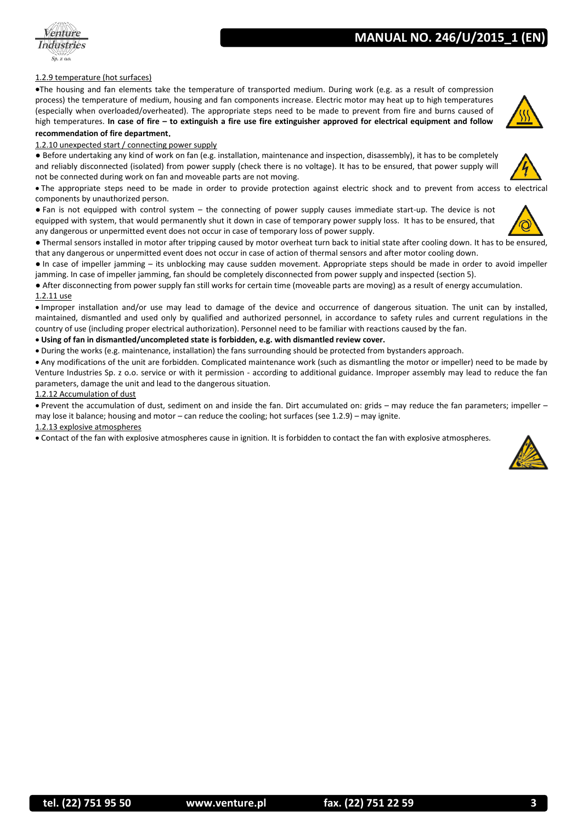# 1.2.9 temperature (hot surfaces)

Industries

The housing and fan elements take the temperature of transported medium. During work (e.g. as a result of compression process) the temperature of medium, housing and fan components increase. Electric motor may heat up to high temperatures (especially when overloaded/overheated). The appropriate steps need to be made to prevent from fire and burns caused of high temperatures. **In case of fire – to extinguish a fire use fire extinguisher approved for electrical equipment and follow recommendation of fire department**.

# 1.2.10 unexpected start / connecting power supply

● Before undertaking any kind of work on fan (e.g. installation, maintenance and inspection, disassembly), it has to be completely and reliably disconnected (isolated) from power supply (check there is no voltage). It has to be ensured, that power supply will not be connected during work on fan and moveable parts are not moving.

 The appropriate steps need to be made in order to provide protection against electric shock and to prevent from access to electrical components by unauthorized person.

● Fan is not equipped with control system – the connecting of power supply causes immediate start-up. The device is not equipped with system, that would permanently shut it down in case of temporary power supply loss. It has to be ensured, that any dangerous or unpermitted event does not occur in case of temporary loss of power supply.

● Thermal sensors installed in motor after tripping caused by motor overheat turn back to initial state after cooling down. It has to be ensured, that any dangerous or unpermitted event does not occur in case of action of thermal sensors and after motor cooling down.

● In case of impeller jamming – its unblocking may cause sudden movement. Appropriate steps should be made in order to avoid impeller jamming. In case of impeller jamming, fan should be completely disconnected from power supply and inspected (section 5).

● After disconnecting from power supply fan still works for certain time (moveable parts are moving) as a result of energy accumulation. 1.2.11 use

 Improper installation and/or use may lead to damage of the device and occurrence of dangerous situation. The unit can by installed, maintained, dismantled and used only by qualified and authorized personnel, in accordance to safety rules and current regulations in the country of use (including proper electrical authorization). Personnel need to be familiar with reactions caused by the fan.

# **Using of fan in dismantled/uncompleted state is forbidden, e.g. with dismantled review cover.**

During the works (e.g. maintenance, installation) the fans surrounding should be protected from bystanders approach.

 Any modifications of the unit are forbidden. Complicated maintenance work (such as dismantling the motor or impeller) need to be made by Venture Industries Sp. z o.o. service or with it permission - according to additional guidance. Improper assembly may lead to reduce the fan parameters, damage the unit and lead to the dangerous situation.

# 1.2.12 Accumulation of dust

 Prevent the accumulation of dust, sediment on and inside the fan. Dirt accumulated on: grids – may reduce the fan parameters; impeller – may lose it balance; housing and motor – can reduce the cooling; hot surfaces (see 1.2.9) – may ignite.

#### 1.2.13 explosive atmospheres

Contact of the fan with explosive atmospheres cause in ignition. It is forbidden to contact the fan with explosive atmospheres.





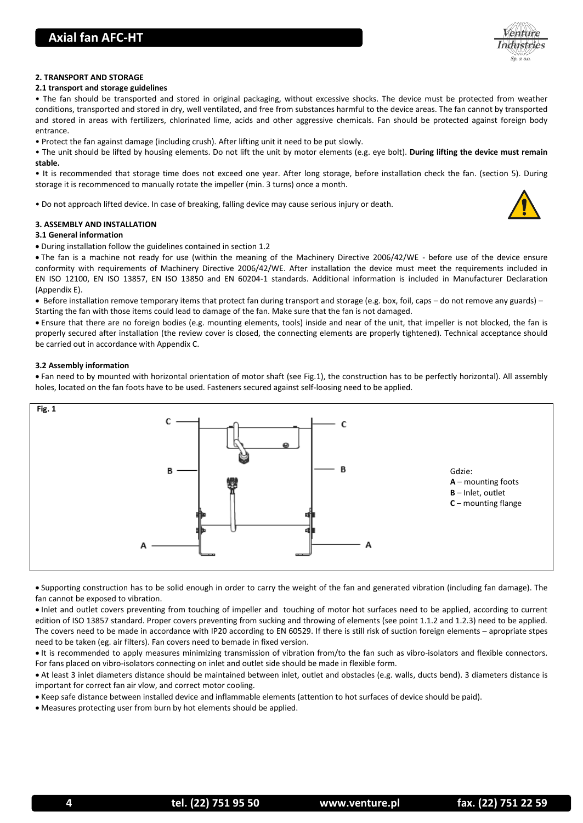

# **2. TRANSPORT AND STORAGE**

#### **2.1 transport and storage guidelines**

• The fan should be transported and stored in original packaging, without excessive shocks. The device must be protected from weather conditions, transported and stored in dry, well ventilated, and free from substances harmful to the device areas. The fan cannot by transported and stored in areas with fertilizers, chlorinated lime, acids and other aggressive chemicals. Fan should be protected against foreign body entrance.

• Protect the fan against damage (including crush). After lifting unit it need to be put slowly.

• The unit should be lifted by housing elements. Do not lift the unit by motor elements (e.g. eye bolt). **During lifting the device must remain stable.**

• It is recommended that storage time does not exceed one year. After long storage, before installation check the fan. (section 5). During storage it is recommenced to manually rotate the impeller (min. 3 turns) once a month.

• Do not approach lifted device. In case of breaking, falling device may cause serious injury or death.

# **3. ASSEMBLY AND INSTALLATION**

#### **3.1 General information**

During installation follow the guidelines contained in section 1.2

 The fan is a machine not ready for use (within the meaning of the Machinery Directive 2006/42/WE - before use of the device ensure conformity with requirements of Machinery Directive 2006/42/WE. After installation the device must meet the requirements included in EN ISO 12100, EN ISO 13857, EN ISO 13850 and EN 60204-1 standards. Additional information is included in Manufacturer Declaration (Appendix E).

• Before installation remove temporary items that protect fan during transport and storage (e.g. box, foil, caps – do not remove any guards) – Starting the fan with those items could lead to damage of the fan. Make sure that the fan is not damaged.

 Ensure that there are no foreign bodies (e.g. mounting elements, tools) inside and near of the unit, that impeller is not blocked, the fan is properly secured after installation (the review cover is closed, the connecting elements are properly tightened). Technical acceptance should be carried out in accordance with Appendix C.

#### **3.2 Assembly information**

 Fan need to by mounted with horizontal orientation of motor shaft (see Fig.1), the construction has to be perfectly horizontal). All assembly holes, located on the fan foots have to be used. Fasteners secured against self-loosing need to be applied.



 Supporting construction has to be solid enough in order to carry the weight of the fan and generated vibration (including fan damage). The fan cannot be exposed to vibration.

 Inlet and outlet covers preventing from touching of impeller and touching of motor hot surfaces need to be applied, according to current edition of ISO 13857 standard. Proper covers preventing from sucking and throwing of elements (see point 1.1.2 and 1.2.3) need to be applied. The covers need to be made in accordance with IP20 according to EN 60529. If there is still risk of suction foreign elements – apropriate stpes need to be taken (eg. air filters). Fan covers need to bemade in fixed version.

 It is recommended to apply measures minimizing transmission of vibration from/to the fan such as vibro-isolators and flexible connectors. For fans placed on vibro-isolators connecting on inlet and outlet side should be made in flexible form.

 At least 3 inlet diameters distance should be maintained between inlet, outlet and obstacles (e.g. walls, ducts bend). 3 diameters distance is important for correct fan air vlow, and correct motor cooling.

Keep safe distance between installed device and inflammable elements (attention to hot surfaces of device should be paid).

Measures protecting user from burn by hot elements should be applied.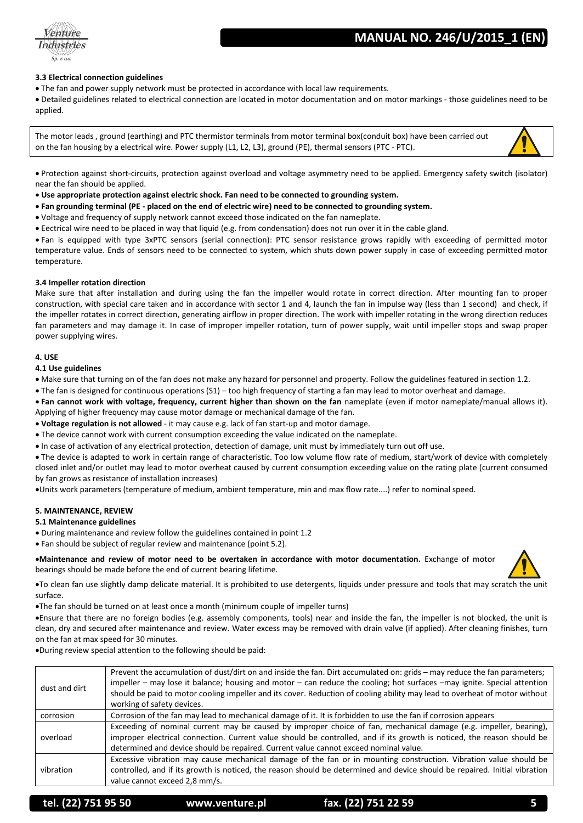# **MANUAL NO. 246/U/2015**



# **3.3 Electrical connection guidelines**

The fan and power supply network must be protected in accordance with local law requirements.

 Detailed guidelines related to electrical connection are located in motor documentation and on motor markings - those guidelines need to be applied.

The motor leads , ground (earthing) and PTC thermistor terminals from motor terminal box(conduit box) have been carried out on the fan housing by a electrical wire. Power supply (L1, L2, L3), ground (PE), thermal sensors (PTC - PTC).



 Protection against short-circuits, protection against overload and voltage asymmetry need to be applied. Emergency safety switch (isolator) near the fan should be applied.

- **Use appropriate protection against electric shock. Fan need to be connected to grounding system.**
- **Fan grounding terminal (PE - placed on the end of electric wire) need to be connected to grounding system.**
- Voltage and frequency of supply network cannot exceed those indicated on the fan nameplate.
- Eectrical wire need to be placed in way that liquid (e.g. from condensation) does not run over it in the cable gland.

 Fan is equipped with type 3xPTC sensors (serial connection): PTC sensor resistance grows rapidly with exceeding of permitted motor temperature value. Ends of sensors need to be connected to system, which shuts down power supply in case of exceeding permitted motor temperature.

# **3.4 Impeller rotation direction**

Make sure that after installation and during using the fan the impeller would rotate in correct direction. After mounting fan to proper construction, with special care taken and in accordance with sector 1 and 4, launch the fan in impulse way (less than 1 second) and check, if the impeller rotates in correct direction, generating airflow in proper direction. The work with impeller rotating in the wrong direction reduces fan parameters and may damage it. In case of improper impeller rotation, turn of power supply, wait until impeller stops and swap proper power supplying wires.

#### **4. USE**

#### **4.1 Use guidelines**

• Make sure that turning on of the fan does not make any hazard for personnel and property. Follow the guidelines featured in section 1.2.

The fan is designed for continuous operations (S1) – too high frequency of starting a fan may lead to motor overheat and damage.

 **Fan cannot work with voltage, frequency, current higher than shown on the fan** nameplate (even if motor nameplate/manual allows it). Applying of higher frequency may cause motor damage or mechanical damage of the fan.

**Voltage regulation is not allowed** - it may cause e.g. lack of fan start-up and motor damage.

- The device cannot work with current consumption exceeding the value indicated on the nameplate.
- In case of activation of any electrical protection, detection of damage, unit must by immediately turn out off use.

 The device is adapted to work in certain range of characteristic. Too low volume flow rate of medium, start/work of device with completely closed inlet and/or outlet may lead to motor overheat caused by current consumption exceeding value on the rating plate (current consumed by fan grows as resistance of installation increases)

Units work parameters (temperature of medium, ambient temperature, min and max flow rate....) refer to nominal speed.

#### **5. MAINTENANCE, REVIEW**

#### **5.1 Maintenance guidelines**

- During maintenance and review follow the guidelines contained in point 1.2
- Fan should be subject of regular review and maintenance (point 5.2).

**Maintenance and review of motor need to be overtaken in accordance with motor documentation.** Exchange of motor bearings should be made before the end of current bearing lifetime.



To clean fan use slightly damp delicate material. It is prohibited to use detergents, liquids under pressure and tools that may scratch the unit surface.

The fan should be turned on at least once a month (minimum couple of impeller turns)

Ensure that there are no foreign bodies (e.g. assembly components, tools) near and inside the fan, the impeller is not blocked, the unit is clean, dry and secured after maintenance and review. Water excess may be removed with drain valve (if applied). After cleaning finishes, turn on the fan at max speed for 30 minutes.

During review special attention to the following should be paid:

| dust and dirt | Prevent the accumulation of dust/dirt on and inside the fan. Dirt accumulated on: grids – may reduce the fan parameters;<br>impeller – may lose it balance; housing and motor – can reduce the cooling; hot surfaces –may ignite. Special attention<br>should be paid to motor cooling impeller and its cover. Reduction of cooling ability may lead to overheat of motor without<br>working of safety devices. |
|---------------|-----------------------------------------------------------------------------------------------------------------------------------------------------------------------------------------------------------------------------------------------------------------------------------------------------------------------------------------------------------------------------------------------------------------|
| corrosion     | Corrosion of the fan may lead to mechanical damage of it. It is forbidden to use the fan if corrosion appears                                                                                                                                                                                                                                                                                                   |
| overload      | Exceeding of nominal current may be caused by improper choice of fan, mechanical damage (e.g. impeller, bearing),<br>improper electrical connection. Current value should be controlled, and if its growth is noticed, the reason should be<br>determined and device should be repaired. Current value cannot exceed nominal value.                                                                             |
| vibration     | Excessive vibration may cause mechanical damage of the fan or in mounting construction. Vibration value should be<br>controlled, and if its growth is noticed, the reason should be determined and device should be repaired. Initial vibration<br>value cannot exceed 2,8 mm/s.                                                                                                                                |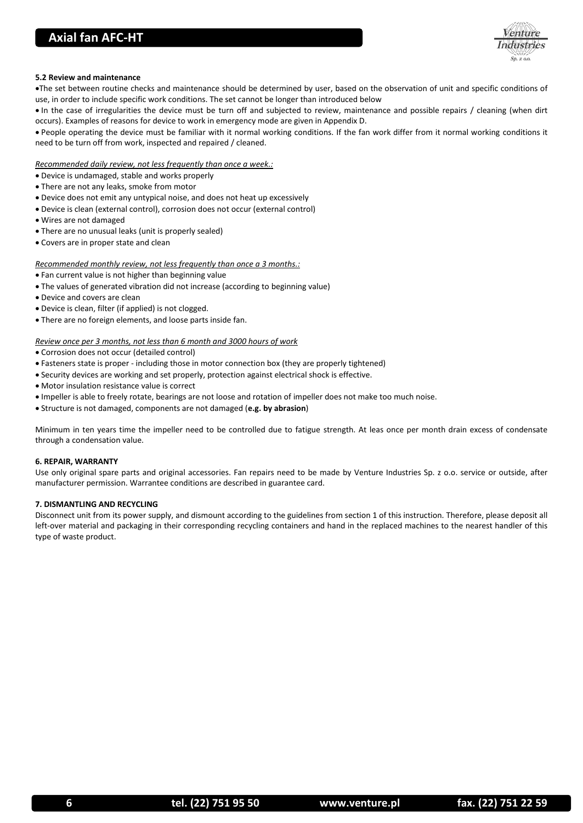# **Axial fan AFC-HT**



# **5.2 Review and maintenance**

The set between routine checks and maintenance should be determined by user, based on the observation of unit and specific conditions of use, in order to include specific work conditions. The set cannot be longer than introduced below

• In the case of irregularities the device must be turn off and subjected to review, maintenance and possible repairs / cleaning (when dirt occurs). Examples of reasons for device to work in emergency mode are given in Appendix D.

 People operating the device must be familiar with it normal working conditions. If the fan work differ from it normal working conditions it need to be turn off from work, inspected and repaired / cleaned.

#### *Recommended daily review, not less frequently than once a week.:*

- Device is undamaged, stable and works properly
- There are not any leaks, smoke from motor
- Device does not emit any untypical noise, and does not heat up excessively
- Device is clean (external control), corrosion does not occur (external control)
- Wires are not damaged
- There are no unusual leaks (unit is properly sealed)
- Covers are in proper state and clean

#### *Recommended monthly review, not less frequently than once a 3 months.:*

- Fan current value is not higher than beginning value
- The values of generated vibration did not increase (according to beginning value)
- Device and covers are clean
- Device is clean, filter (if applied) is not clogged.
- There are no foreign elements, and loose parts inside fan.

# *Review once per 3 months, not less than 6 month and 3000 hours of work*

Corrosion does not occur (detailed control)

- Fasteners state is proper including those in motor connection box (they are properly tightened)
- Security devices are working and set properly, protection against electrical shock is effective.
- Motor insulation resistance value is correct
- Impeller is able to freely rotate, bearings are not loose and rotation of impeller does not make too much noise.
- Structure is not damaged, components are not damaged (**e.g. by abrasion**)

Minimum in ten years time the impeller need to be controlled due to fatigue strength. At leas once per month drain excess of condensate through a condensation value.

#### **6. REPAIR, WARRANTY**

Use only original spare parts and original accessories. Fan repairs need to be made by Venture Industries Sp. z o.o. service or outside, after manufacturer permission. Warrantee conditions are described in guarantee card.

# **7. DISMANTLING AND RECYCLING**

Disconnect unit from its power supply, and dismount according to the guidelines from section 1 of this instruction. Therefore, please deposit all left-over material and packaging in their corresponding recycling containers and hand in the replaced machines to the nearest handler of this type of waste product.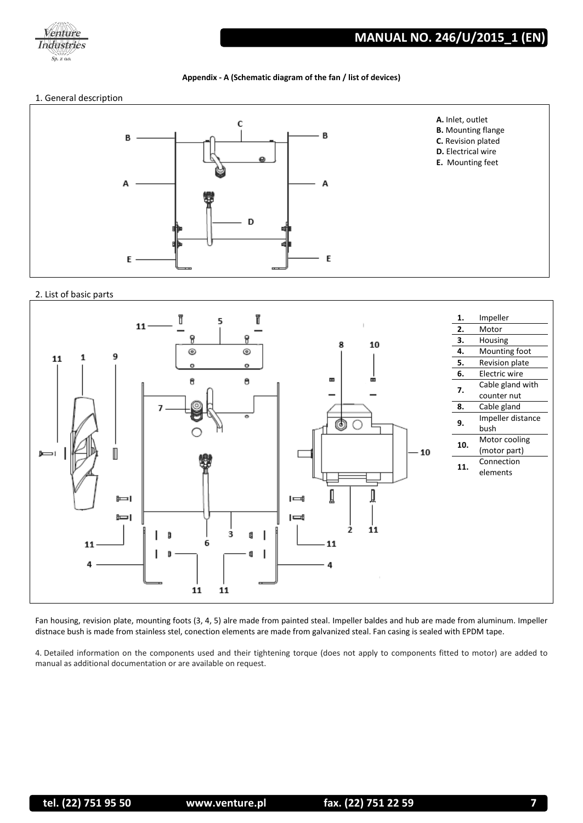

# **Appendix - A (Schematic diagram of the fan / list of devices)**

# 1. General description



# 2. List of basic parts



Fan housing, revision plate, mounting foots (3, 4, 5) alre made from painted steal. Impeller baldes and hub are made from aluminum. Impeller distnace bush is made from stainless stel, conection elements are made from galvanized steal. Fan casing is sealed with EPDM tape.

4. Detailed information on the components used and their tightening torque (does not apply to components fitted to motor) are added to manual as additional documentation or are available on request.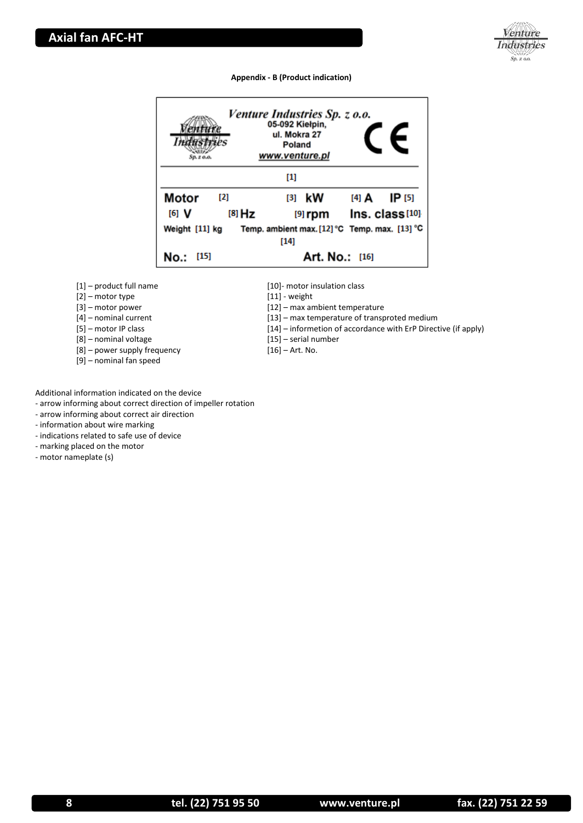

# **Appendix - B (Product indication)**

| $Sp. z.$ o.o.           | Venture Industries Sp. z o.o.<br>05-092 Kiełpin,<br>ul. Mokra 27<br>Poland<br>www.venture.pl | E                      |
|-------------------------|----------------------------------------------------------------------------------------------|------------------------|
|                         | [1]                                                                                          |                        |
| Motor<br>$\mathbf{[2]}$ | $[3]$ kW                                                                                     | <b>IP</b> [5]<br>[4] A |
| [6] V<br>$[8]$ Hz       | $[9]$ rpm                                                                                    | $Ins. class [10]$      |
| Weight [11] kg          | Temp. ambient max. $[12]$ °C Temp. max. $[13]$ °C                                            |                        |
|                         | $[14]$                                                                                       |                        |
| [15]                    | Art. No.: [16]                                                                               |                        |

[1] – product full name

[2] – motor type

[3] – motor power

[4] – nominal current

[5] – motor IP class

[8] – nominal voltage

[8] – power supply frequency

[9] – nominal fan speed

[10]- motor insulation class

[11] - weight

[12] – max ambient temperature

[13] – max temperature of transproted medium

[14] – informetion of accordance with ErP Directive (if apply)

[15] – serial number

[16] – Art. No.

Additional information indicated on the device

- arrow informing about correct direction of impeller rotation

- arrow informing about correct air direction

- information about wire marking

- indications related to safe use of device

- marking placed on the motor

- motor nameplate (s)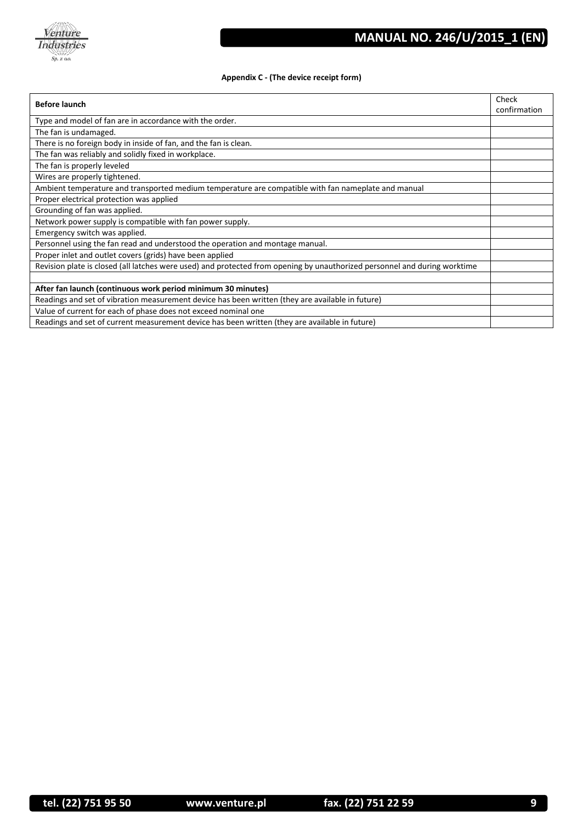

# **Appendix C - (The device receipt form)**

| <b>Before launch</b>                                                                                                      |  |
|---------------------------------------------------------------------------------------------------------------------------|--|
|                                                                                                                           |  |
| The fan is undamaged.                                                                                                     |  |
| There is no foreign body in inside of fan, and the fan is clean.                                                          |  |
| The fan was reliably and solidly fixed in workplace.                                                                      |  |
| The fan is properly leveled                                                                                               |  |
| Wires are properly tightened.                                                                                             |  |
| Ambient temperature and transported medium temperature are compatible with fan nameplate and manual                       |  |
| Proper electrical protection was applied                                                                                  |  |
| Grounding of fan was applied.                                                                                             |  |
| Network power supply is compatible with fan power supply.                                                                 |  |
| Emergency switch was applied.                                                                                             |  |
| Personnel using the fan read and understood the operation and montage manual.                                             |  |
| Proper inlet and outlet covers (grids) have been applied                                                                  |  |
| Revision plate is closed (all latches were used) and protected from opening by unauthorized personnel and during worktime |  |
|                                                                                                                           |  |
| After fan launch (continuous work period minimum 30 minutes)                                                              |  |
| Readings and set of vibration measurement device has been written (they are available in future)                          |  |
| Value of current for each of phase does not exceed nominal one                                                            |  |
| Readings and set of current measurement device has been written (they are available in future)                            |  |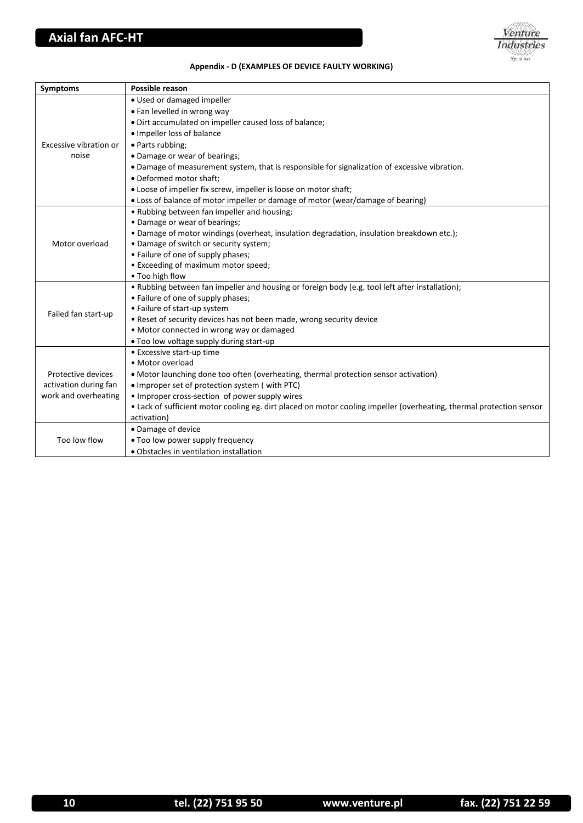

# **Appendix - D (EXAMPLES OF DEVICE FAULTY WORKING)**

| <b>Symptoms</b>        | Possible reason                                                                                                      |
|------------------------|----------------------------------------------------------------------------------------------------------------------|
|                        | · Used or damaged impeller                                                                                           |
|                        | • Fan levelled in wrong way                                                                                          |
|                        | · Dirt accumulated on impeller caused loss of balance;                                                               |
|                        | • Impeller loss of balance                                                                                           |
| Excessive vibration or | • Parts rubbing;                                                                                                     |
| noise                  | • Damage or wear of bearings;                                                                                        |
|                        | . Damage of measurement system, that is responsible for signalization of excessive vibration.                        |
|                        | · Deformed motor shaft;                                                                                              |
|                        | • Loose of impeller fix screw, impeller is loose on motor shaft;                                                     |
|                        | • Loss of balance of motor impeller or damage of motor (wear/damage of bearing)                                      |
|                        | • Rubbing between fan impeller and housing;                                                                          |
|                        | • Damage or wear of bearings;                                                                                        |
|                        | • Damage of motor windings (overheat, insulation degradation, insulation breakdown etc.);                            |
| Motor overload         | • Damage of switch or security system;                                                                               |
|                        | • Failure of one of supply phases;                                                                                   |
|                        | • Exceeding of maximum motor speed;                                                                                  |
|                        | • Too high flow                                                                                                      |
|                        | • Rubbing between fan impeller and housing or foreign body (e.g. tool left after installation);                      |
|                        | • Failure of one of supply phases;                                                                                   |
| Failed fan start-up    | • Failure of start-up system                                                                                         |
|                        | . Reset of security devices has not been made, wrong security device                                                 |
|                        | · Motor connected in wrong way or damaged<br>. Too low voltage supply during start-up                                |
|                        | • Excessive start-up time                                                                                            |
| Protective devices     | • Motor overload                                                                                                     |
|                        | • Motor launching done too often (overheating, thermal protection sensor activation)                                 |
| activation during fan  | • Improper set of protection system (with PTC)                                                                       |
| work and overheating   | • Improper cross-section of power supply wires                                                                       |
|                        | • Lack of sufficient motor cooling eg. dirt placed on motor cooling impeller (overheating, thermal protection sensor |
|                        | activation)                                                                                                          |
|                        | • Damage of device                                                                                                   |
| Too low flow           | . Too low power supply frequency                                                                                     |
|                        | • Obstacles in ventilation installation                                                                              |